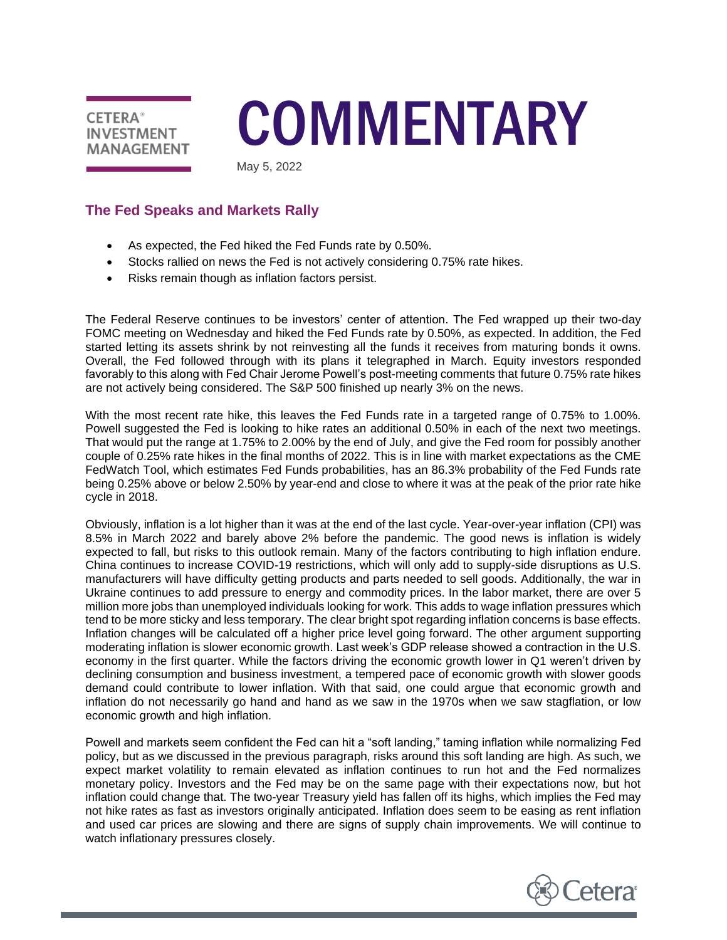

# **COMMENTARY**

May 5, 2022

# **The Fed Speaks and Markets Rally**

- As expected, the Fed hiked the Fed Funds rate by 0.50%.
- Stocks rallied on news the Fed is not actively considering 0.75% rate hikes.
- Risks remain though as inflation factors persist.

The Federal Reserve continues to be investors' center of attention. The Fed wrapped up their two-day FOMC meeting on Wednesday and hiked the Fed Funds rate by 0.50%, as expected. In addition, the Fed started letting its assets shrink by not reinvesting all the funds it receives from maturing bonds it owns. Overall, the Fed followed through with its plans it telegraphed in March. Equity investors responded favorably to this along with Fed Chair Jerome Powell's post-meeting comments that future 0.75% rate hikes are not actively being considered. The S&P 500 finished up nearly 3% on the news.

With the most recent rate hike, this leaves the Fed Funds rate in a targeted range of 0.75% to 1.00%. Powell suggested the Fed is looking to hike rates an additional 0.50% in each of the next two meetings. That would put the range at 1.75% to 2.00% by the end of July, and give the Fed room for possibly another couple of 0.25% rate hikes in the final months of 2022. This is in line with market expectations as the CME FedWatch Tool, which estimates Fed Funds probabilities, has an 86.3% probability of the Fed Funds rate being 0.25% above or below 2.50% by year-end and close to where it was at the peak of the prior rate hike cycle in 2018.

Obviously, inflation is a lot higher than it was at the end of the last cycle. Year-over-year inflation (CPI) was 8.5% in March 2022 and barely above 2% before the pandemic. The good news is inflation is widely expected to fall, but risks to this outlook remain. Many of the factors contributing to high inflation endure. China continues to increase COVID-19 restrictions, which will only add to supply-side disruptions as U.S. manufacturers will have difficulty getting products and parts needed to sell goods. Additionally, the war in Ukraine continues to add pressure to energy and commodity prices. In the labor market, there are over 5 million more jobs than unemployed individuals looking for work. This adds to wage inflation pressures which tend to be more sticky and less temporary. The clear bright spot regarding inflation concerns is base effects. Inflation changes will be calculated off a higher price level going forward. The other argument supporting moderating inflation is slower economic growth. Last week's GDP release showed a contraction in the U.S. economy in the first quarter. While the factors driving the economic growth lower in Q1 weren't driven by declining consumption and business investment, a tempered pace of economic growth with slower goods demand could contribute to lower inflation. With that said, one could argue that economic growth and inflation do not necessarily go hand and hand as we saw in the 1970s when we saw stagflation, or low economic growth and high inflation.

Powell and markets seem confident the Fed can hit a "soft landing," taming inflation while normalizing Fed policy, but as we discussed in the previous paragraph, risks around this soft landing are high. As such, we expect market volatility to remain elevated as inflation continues to run hot and the Fed normalizes monetary policy. Investors and the Fed may be on the same page with their expectations now, but hot inflation could change that. The two-year Treasury yield has fallen off its highs, which implies the Fed may not hike rates as fast as investors originally anticipated. Inflation does seem to be easing as rent inflation and used car prices are slowing and there are signs of supply chain improvements. We will continue to watch inflationary pressures closely.

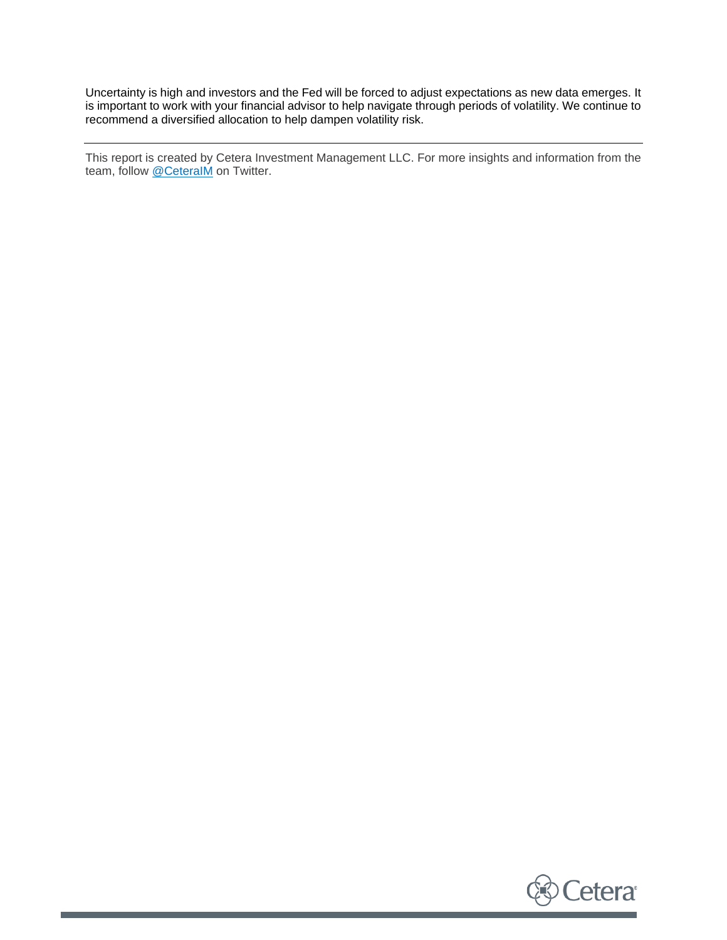Uncertainty is high and investors and the Fed will be forced to adjust expectations as new data emerges. It is important to work with your financial advisor to help navigate through periods of volatility. We continue to recommend a diversified allocation to help dampen volatility risk.

This report is created by Cetera Investment Management LLC. For more insights and information from the team, follow @CeteralM on Twitter.